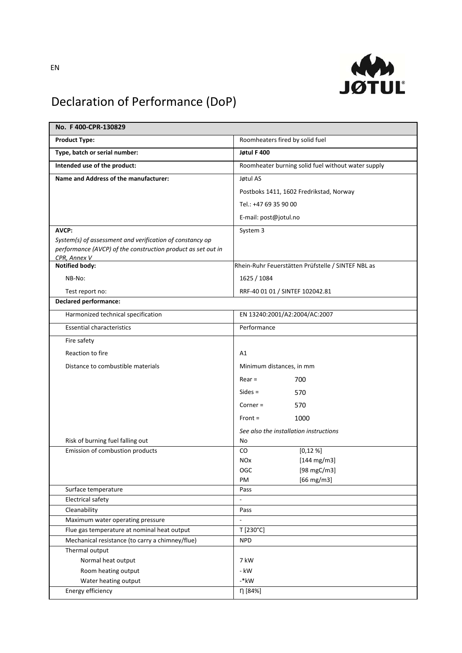

## Declaration of Performance (DoP)

| No. F400-CPR-130829                                                             |                                                    |
|---------------------------------------------------------------------------------|----------------------------------------------------|
| <b>Product Type:</b>                                                            | Roomheaters fired by solid fuel                    |
| Type, batch or serial number:                                                   | Jøtul F 400                                        |
| Intended use of the product:                                                    | Roomheater burning solid fuel without water supply |
| Name and Address of the manufacturer:                                           | Jøtul AS                                           |
|                                                                                 | Postboks 1411, 1602 Fredrikstad, Norway            |
|                                                                                 | Tel.: +47 69 35 90 00                              |
|                                                                                 | E-mail: post@jotul.no                              |
| AVCP:                                                                           | System 3                                           |
| System(s) of assessment and verification of constancy op                        |                                                    |
| performance (AVCP) of the construction product as set out in                    |                                                    |
| CPR, Annex V<br><b>Notified body:</b>                                           | Rhein-Ruhr Feuerstätten Prüfstelle / SINTEF NBL as |
| NB-No:                                                                          | 1625 / 1084                                        |
|                                                                                 |                                                    |
| Test report no:<br><b>Declared performance:</b>                                 | RRF-40 01 01 / SINTEF 102042.81                    |
|                                                                                 |                                                    |
| Harmonized technical specification                                              | EN 13240:2001/A2:2004/AC:2007                      |
| <b>Essential characteristics</b>                                                | Performance                                        |
| Fire safety                                                                     |                                                    |
| Reaction to fire                                                                | A1                                                 |
| Distance to combustible materials                                               | Minimum distances, in mm                           |
|                                                                                 | $Rear =$<br>700                                    |
|                                                                                 | $Sides =$<br>570                                   |
|                                                                                 | $Corner =$<br>570                                  |
|                                                                                 | $Front =$<br>1000                                  |
|                                                                                 | See also the installation instructions             |
| Risk of burning fuel falling out                                                | No                                                 |
| Emission of combustion products                                                 | [0,12%]<br>CO                                      |
|                                                                                 | $[144 \, mg/m3]$<br><b>NOx</b>                     |
|                                                                                 | [98 mgC/m3]<br>OGC                                 |
|                                                                                 | $[66$ mg/m3]<br>PM                                 |
| Surface temperature                                                             | Pass                                               |
| Electrical safety                                                               | $\overline{\phantom{a}}$                           |
| Cleanability                                                                    | Pass                                               |
| Maximum water operating pressure<br>Flue gas temperature at nominal heat output | $\blacksquare$<br>T [230°C]                        |
| Mechanical resistance (to carry a chimney/flue)                                 | <b>NPD</b>                                         |
| Thermal output                                                                  |                                                    |
| Normal heat output                                                              | 7 kW                                               |
| Room heating output                                                             | - kW                                               |
| Water heating output                                                            | $-*$ kW                                            |
| Energy efficiency                                                               | η [84%]                                            |
|                                                                                 |                                                    |